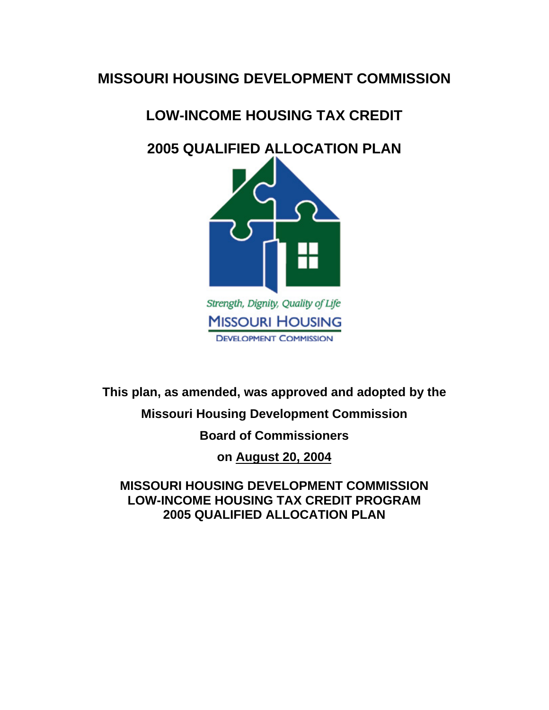## **MISSOURI HOUSING DEVELOPMENT COMMISSION**

# **LOW-INCOME HOUSING TAX CREDIT**

# **2005 QUALIFIED ALLOCATION PLAN**



**DEVELOPMENT COMMISSION** 

**This plan, as amended, was approved and adopted by the** 

## **Missouri Housing Development Commission**

## **Board of Commissioners**

**on August 20, 2004**

**MISSOURI HOUSING DEVELOPMENT COMMISSION LOW-INCOME HOUSING TAX CREDIT PROGRAM 2005 QUALIFIED ALLOCATION PLAN**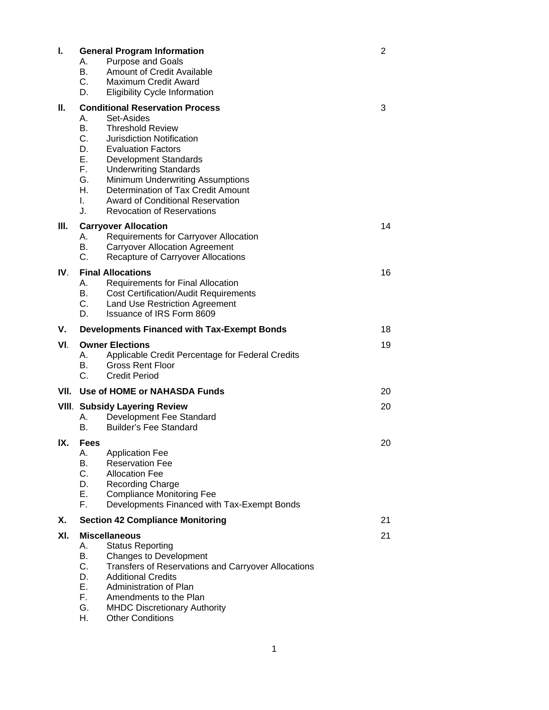| I.   | <b>General Program Information</b><br><b>Purpose and Goals</b><br>А.<br>B.<br>Amount of Credit Available<br>C.<br><b>Maximum Credit Award</b><br>D.                                                                                                                                                                                                                                                                                                                             | 2  |
|------|---------------------------------------------------------------------------------------------------------------------------------------------------------------------------------------------------------------------------------------------------------------------------------------------------------------------------------------------------------------------------------------------------------------------------------------------------------------------------------|----|
| Ш.   | <b>Eligibility Cycle Information</b><br><b>Conditional Reservation Process</b><br>Set-Asides<br>А.<br>В.<br><b>Threshold Review</b><br>C.<br><b>Jurisdiction Notification</b><br>D.<br><b>Evaluation Factors</b><br>Е.<br><b>Development Standards</b><br>F.<br><b>Underwriting Standards</b><br>G.<br><b>Minimum Underwriting Assumptions</b><br>Η.<br>Determination of Tax Credit Amount<br>L.<br>Award of Conditional Reservation<br>J.<br><b>Revocation of Reservations</b> | 3  |
| III. | <b>Carryover Allocation</b><br>Requirements for Carryover Allocation<br>А.<br>В.<br><b>Carryover Allocation Agreement</b><br>C.<br><b>Recapture of Carryover Allocations</b>                                                                                                                                                                                                                                                                                                    | 14 |
| IV.  | <b>Final Allocations</b><br>А.<br>Requirements for Final Allocation<br>В.<br><b>Cost Certification/Audit Requirements</b><br>C.<br><b>Land Use Restriction Agreement</b><br>D.<br>Issuance of IRS Form 8609                                                                                                                                                                                                                                                                     | 16 |
| v.   | <b>Developments Financed with Tax-Exempt Bonds</b>                                                                                                                                                                                                                                                                                                                                                                                                                              | 18 |
| VI.  | <b>Owner Elections</b><br>Applicable Credit Percentage for Federal Credits<br>А.<br>В.<br><b>Gross Rent Floor</b><br>C.<br><b>Credit Period</b>                                                                                                                                                                                                                                                                                                                                 | 19 |
| VII. | Use of HOME or NAHASDA Funds                                                                                                                                                                                                                                                                                                                                                                                                                                                    | 20 |
|      | <b>VIII. Subsidy Layering Review</b><br>Development Fee Standard<br>А.<br><b>Builder's Fee Standard</b><br>В.                                                                                                                                                                                                                                                                                                                                                                   | 20 |
| IX.  | <b>Fees</b><br>А.<br><b>Application Fee</b><br>В.<br><b>Reservation Fee</b><br>C.<br><b>Allocation Fee</b><br>D.<br><b>Recording Charge</b><br>Ε.<br><b>Compliance Monitoring Fee</b><br>F.<br>Developments Financed with Tax-Exempt Bonds                                                                                                                                                                                                                                      | 20 |
| Х.   | <b>Section 42 Compliance Monitoring</b>                                                                                                                                                                                                                                                                                                                                                                                                                                         | 21 |
| XI.  | <b>Miscellaneous</b><br><b>Status Reporting</b><br>А.<br>В.<br>Changes to Development<br>C.<br><b>Transfers of Reservations and Carryover Allocations</b><br>D.<br><b>Additional Credits</b><br>Е.<br>Administration of Plan<br>F.<br>Amendments to the Plan<br>G.<br><b>MHDC Discretionary Authority</b><br>Η.<br><b>Other Conditions</b>                                                                                                                                      | 21 |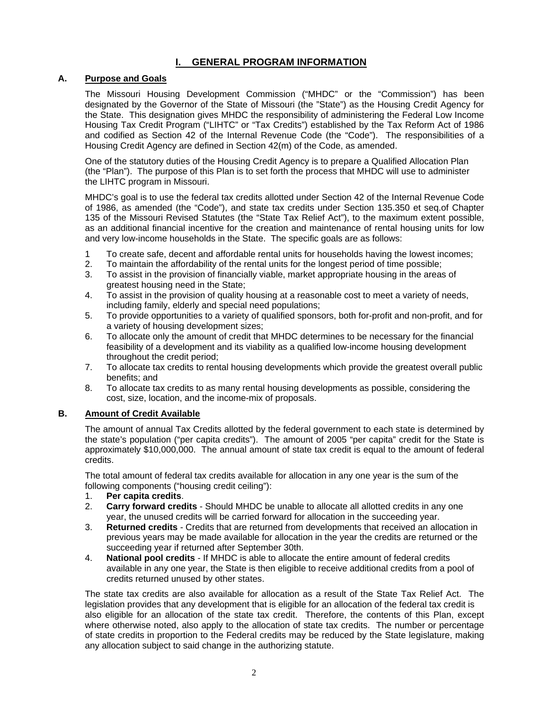## **I. GENERAL PROGRAM INFORMATION**

#### **A. Purpose and Goals**

The Missouri Housing Development Commission ("MHDC" or the "Commission") has been designated by the Governor of the State of Missouri (the "State") as the Housing Credit Agency for the State. This designation gives MHDC the responsibility of administering the Federal Low Income Housing Tax Credit Program ("LIHTC" or "Tax Credits") established by the Tax Reform Act of 1986 and codified as Section 42 of the Internal Revenue Code (the "Code"). The responsibilities of a Housing Credit Agency are defined in Section 42(m) of the Code, as amended.

One of the statutory duties of the Housing Credit Agency is to prepare a Qualified Allocation Plan (the "Plan"). The purpose of this Plan is to set forth the process that MHDC will use to administer the LIHTC program in Missouri.

MHDC's goal is to use the federal tax credits allotted under Section 42 of the Internal Revenue Code of 1986, as amended (the "Code"), and state tax credits under Section 135.350 et seq.of Chapter 135 of the Missouri Revised Statutes (the "State Tax Relief Act"), to the maximum extent possible, as an additional financial incentive for the creation and maintenance of rental housing units for low and very low-income households in the State. The specific goals are as follows:

- 1 To create safe, decent and affordable rental units for households having the lowest incomes;
- 2. To maintain the affordability of the rental units for the longest period of time possible;
- 3. To assist in the provision of financially viable, market appropriate housing in the areas of greatest housing need in the State;
- 4. To assist in the provision of quality housing at a reasonable cost to meet a variety of needs, including family, elderly and special need populations;
- 5. To provide opportunities to a variety of qualified sponsors, both for-profit and non-profit, and for a variety of housing development sizes;
- 6. To allocate only the amount of credit that MHDC determines to be necessary for the financial feasibility of a development and its viability as a qualified low-income housing development throughout the credit period;
- 7. To allocate tax credits to rental housing developments which provide the greatest overall public benefits; and
- 8. To allocate tax credits to as many rental housing developments as possible, considering the cost, size, location, and the income-mix of proposals.

## **B. Amount of Credit Available**

The amount of annual Tax Credits allotted by the federal government to each state is determined by the state's population ("per capita credits"). The amount of 2005 "per capita" credit for the State is approximately \$10,000,000. The annual amount of state tax credit is equal to the amount of federal credits.

The total amount of federal tax credits available for allocation in any one year is the sum of the following components ("housing credit ceiling"):

- 1. **Per capita credits**.
- 2. **Carry forward credits** Should MHDC be unable to allocate all allotted credits in any one year, the unused credits will be carried forward for allocation in the succeeding year.
- 3. **Returned credits** Credits that are returned from developments that received an allocation in previous years may be made available for allocation in the year the credits are returned or the succeeding year if returned after September 30th.
- 4. **National pool credits** If MHDC is able to allocate the entire amount of federal credits available in any one year, the State is then eligible to receive additional credits from a pool of credits returned unused by other states.

The state tax credits are also available for allocation as a result of the State Tax Relief Act. The legislation provides that any development that is eligible for an allocation of the federal tax credit is also eligible for an allocation of the state tax credit. Therefore, the contents of this Plan, except where otherwise noted, also apply to the allocation of state tax credits. The number or percentage of state credits in proportion to the Federal credits may be reduced by the State legislature, making any allocation subject to said change in the authorizing statute.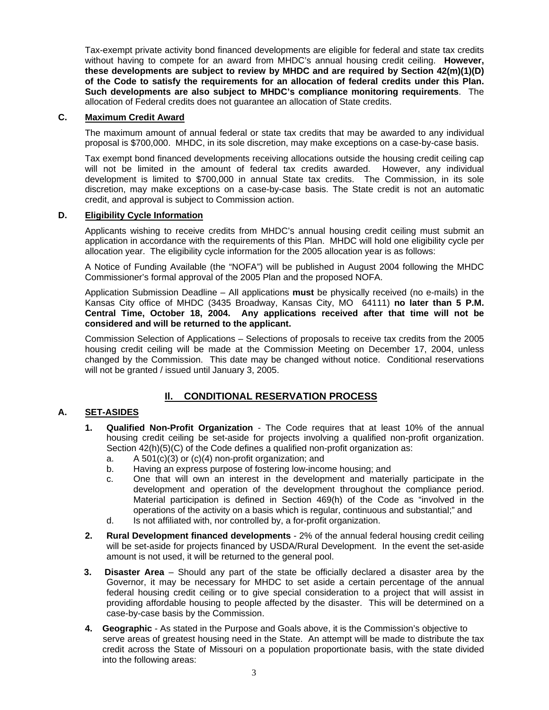Tax-exempt private activity bond financed developments are eligible for federal and state tax credits without having to compete for an award from MHDC's annual housing credit ceiling. **However, these developments are subject to review by MHDC and are required by Section 42(m)(1)(D) of the Code to satisfy the requirements for an allocation of federal credits under this Plan. Such developments are also subject to MHDC's compliance monitoring requirements**. The allocation of Federal credits does not guarantee an allocation of State credits.

#### **C. Maximum Credit Award**

The maximum amount of annual federal or state tax credits that may be awarded to any individual proposal is \$700,000. MHDC, in its sole discretion, may make exceptions on a case-by-case basis.

Tax exempt bond financed developments receiving allocations outside the housing credit ceiling cap will not be limited in the amount of federal tax credits awarded. However, any individual development is limited to \$700,000 in annual State tax credits. The Commission, in its sole discretion, may make exceptions on a case-by-case basis. The State credit is not an automatic credit, and approval is subject to Commission action.

#### **D. Eligibility Cycle Information**

Applicants wishing to receive credits from MHDC's annual housing credit ceiling must submit an application in accordance with the requirements of this Plan. MHDC will hold one eligibility cycle per allocation year. The eligibility cycle information for the 2005 allocation year is as follows:

A Notice of Funding Available (the "NOFA") will be published in August 2004 following the MHDC Commissioner's formal approval of the 2005 Plan and the proposed NOFA.

Application Submission Deadline – All applications **must** be physically received (no e-mails) in the Kansas City office of MHDC (3435 Broadway, Kansas City, MO 64111) **no later than 5 P.M. Central Time, October 18, 2004. Any applications received after that time will not be considered and will be returned to the applicant.**

Commission Selection of Applications – Selections of proposals to receive tax credits from the 2005 housing credit ceiling will be made at the Commission Meeting on December 17, 2004, unless changed by the Commission. This date may be changed without notice. Conditional reservations will not be granted / issued until January 3, 2005.

## **Il. CONDITIONAL RESERVATION PROCESS**

## **A. SET-ASIDES**

- **1. Qualified Non-Profit Organization** The Code requires that at least 10% of the annual housing credit ceiling be set-aside for projects involving a qualified non-profit organization. Section 42(h)(5)(C) of the Code defines a qualified non-profit organization as:
	- a. A 501 $(c)(3)$  or  $(c)(4)$  non-profit organization; and
	- b. Having an express purpose of fostering low-income housing; and
	- c. One that will own an interest in the development and materially participate in the development and operation of the development throughout the compliance period. Material participation is defined in Section 469(h) of the Code as "involved in the operations of the activity on a basis which is regular, continuous and substantial;" and
	- d. Is not affiliated with, nor controlled by, a for-profit organization.
- **2. Rural Development financed developments** 2% of the annual federal housing credit ceiling will be set-aside for projects financed by USDA/Rural Development. In the event the set-aside amount is not used, it will be returned to the general pool.
- **3. Disaster Area** Should any part of the state be officially declared a disaster area by the Governor, it may be necessary for MHDC to set aside a certain percentage of the annual federal housing credit ceiling or to give special consideration to a project that will assist in providing affordable housing to people affected by the disaster. This will be determined on a case-by-case basis by the Commission.
- **4. Geographic** As stated in the Purpose and Goals above, it is the Commission's objective to serve areas of greatest housing need in the State. An attempt will be made to distribute the tax credit across the State of Missouri on a population proportionate basis, with the state divided into the following areas: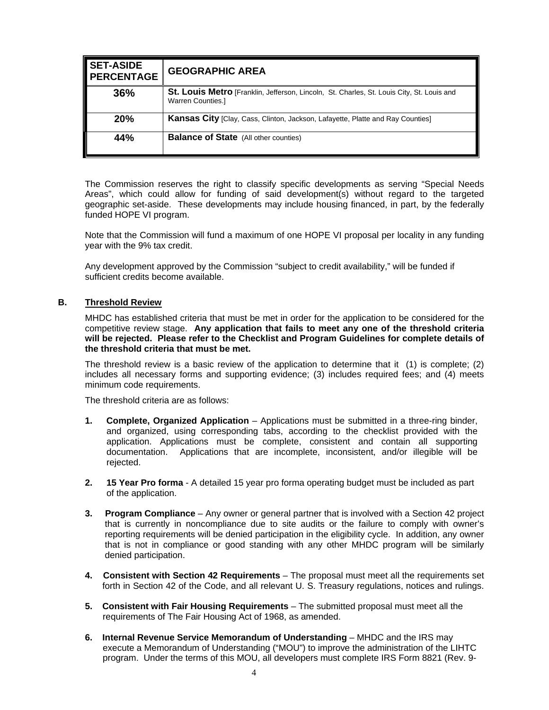| <b>SET-ASIDE</b><br><b>PERCENTAGE</b> | <b>GEOGRAPHIC AREA</b>                                                                                                |
|---------------------------------------|-----------------------------------------------------------------------------------------------------------------------|
| 36%                                   | St. Louis Metro [Franklin, Jefferson, Lincoln, St. Charles, St. Louis City, St. Louis and<br><b>Warren Counties.]</b> |
| <b>20%</b>                            | Kansas City [Clay, Cass, Clinton, Jackson, Lafayette, Platte and Ray Counties]                                        |
| 44%                                   | <b>Balance of State</b> (All other counties)                                                                          |

The Commission reserves the right to classify specific developments as serving "Special Needs Areas", which could allow for funding of said development(s) without regard to the targeted geographic set-aside. These developments may include housing financed, in part, by the federally funded HOPE VI program.

Note that the Commission will fund a maximum of one HOPE VI proposal per locality in any funding year with the 9% tax credit.

Any development approved by the Commission "subject to credit availability," will be funded if sufficient credits become available.

#### **B. Threshold Review**

MHDC has established criteria that must be met in order for the application to be considered for the competitive review stage. **Any application that fails to meet any one of the threshold criteria will be rejected. Please refer to the Checklist and Program Guidelines for complete details of the threshold criteria that must be met.** 

The threshold review is a basic review of the application to determine that it (1) is complete; (2) includes all necessary forms and supporting evidence; (3) includes required fees; and (4) meets minimum code requirements.

The threshold criteria are as follows:

- **1. Complete, Organized Application** Applications must be submitted in a three-ring binder, and organized, using corresponding tabs, according to the checklist provided with the application. Applications must be complete, consistent and contain all supporting documentation. Applications that are incomplete, inconsistent, and/or illegible will be rejected.
- **2. 15 Year Pro forma** A detailed 15 year pro forma operating budget must be included as part of the application.
- **3. Program Compliance** Any owner or general partner that is involved with a Section 42 project that is currently in noncompliance due to site audits or the failure to comply with owner's reporting requirements will be denied participation in the eligibility cycle. In addition, any owner that is not in compliance or good standing with any other MHDC program will be similarly denied participation.
- **4. Consistent with Section 42 Requirements** The proposal must meet all the requirements set forth in Section 42 of the Code, and all relevant U. S. Treasury regulations, notices and rulings.
- **5. Consistent with Fair Housing Requirements** The submitted proposal must meet all the requirements of The Fair Housing Act of 1968, as amended.
- **6. Internal Revenue Service Memorandum of Understanding** MHDC and the IRS may execute a Memorandum of Understanding ("MOU") to improve the administration of the LIHTC program. Under the terms of this MOU, all developers must complete IRS Form 8821 (Rev. 9-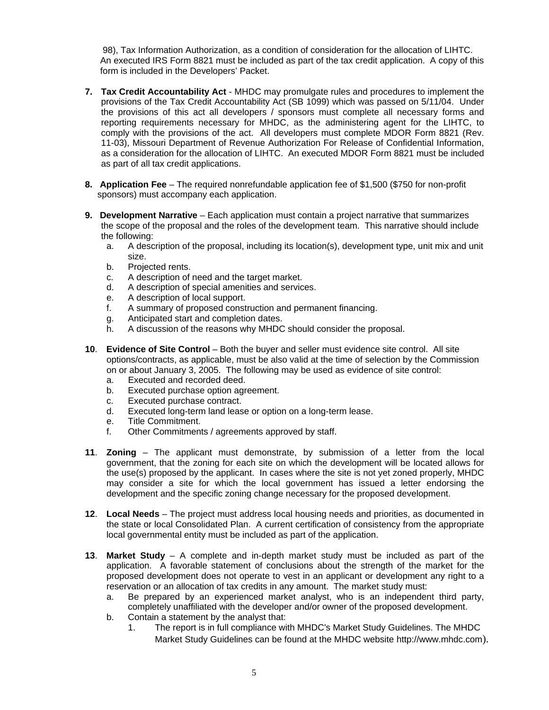98), Tax Information Authorization, as a condition of consideration for the allocation of LIHTC. An executed IRS Form 8821 must be included as part of the tax credit application. A copy of this form is included in the Developers' Packet.

- **7. Tax Credit Accountability Act** MHDC may promulgate rules and procedures to implement the provisions of the Tax Credit Accountability Act (SB 1099) which was passed on 5/11/04. Under the provisions of this act all developers / sponsors must complete all necessary forms and reporting requirements necessary for MHDC, as the administering agent for the LIHTC, to comply with the provisions of the act. All developers must complete MDOR Form 8821 (Rev. 11-03), Missouri Department of Revenue Authorization For Release of Confidential Information, as a consideration for the allocation of LIHTC. An executed MDOR Form 8821 must be included as part of all tax credit applications.
- **8. Application Fee** The required nonrefundable application fee of \$1,500 (\$750 for non-profit sponsors) must accompany each application.
- **9. Development Narrative** Each application must contain a project narrative that summarizes the scope of the proposal and the roles of the development team. This narrative should include the following:
	- a. A description of the proposal, including its location(s), development type, unit mix and unit size.
	- b. Projected rents.
	- c. A description of need and the target market.
	- d. A description of special amenities and services.
	- e. A description of local support.
	- f. A summary of proposed construction and permanent financing.
	- g. Anticipated start and completion dates.
	- h. A discussion of the reasons why MHDC should consider the proposal.
- **10**. **Evidence of Site Control** Both the buyer and seller must evidence site control. All site options/contracts, as applicable, must be also valid at the time of selection by the Commission on or about January 3, 2005. The following may be used as evidence of site control:
	- a. Executed and recorded deed.
	- b. Executed purchase option agreement.
	- c. Executed purchase contract.
	- d. Executed long-term land lease or option on a long-term lease.
	- e. Title Commitment.
	- f. Other Commitments / agreements approved by staff.
- **11**. **Zoning** The applicant must demonstrate, by submission of a letter from the local government, that the zoning for each site on which the development will be located allows for the use(s) proposed by the applicant. In cases where the site is not yet zoned properly, MHDC may consider a site for which the local government has issued a letter endorsing the development and the specific zoning change necessary for the proposed development.
- **12**. **Local Needs** The project must address local housing needs and priorities, as documented in the state or local Consolidated Plan. A current certification of consistency from the appropriate local governmental entity must be included as part of the application.
- **13**. **Market Study** A complete and in-depth market study must be included as part of the application. A favorable statement of conclusions about the strength of the market for the proposed development does not operate to vest in an applicant or development any right to a reservation or an allocation of tax credits in any amount. The market study must:
	- a. Be prepared by an experienced market analyst, who is an independent third party, completely unaffiliated with the developer and/or owner of the proposed development.
	- b. Contain a statement by the analyst that:
		- 1. The report is in full compliance with MHDC's Market Study Guidelines. The MHDC Market Study Guidelines can be found at the MHDC website [http://www.mhdc.com](http://www.mhdc.com/)).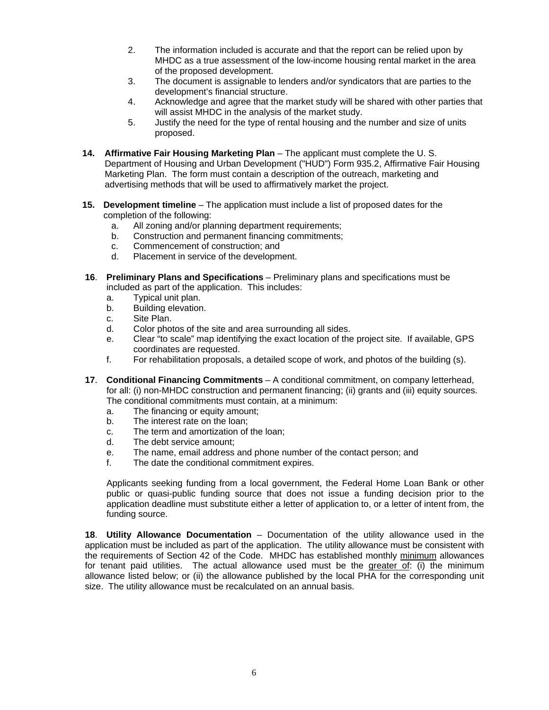- 2. The information included is accurate and that the report can be relied upon by MHDC as a true assessment of the low-income housing rental market in the area of the proposed development.
- 3. The document is assignable to lenders and/or syndicators that are parties to the development's financial structure.
- 4. Acknowledge and agree that the market study will be shared with other parties that will assist MHDC in the analysis of the market study.
- 5. Justify the need for the type of rental housing and the number and size of units proposed.
- **14. Affirmative Fair Housing Marketing Plan** The applicant must complete the U. S. Department of Housing and Urban Development ("HUD") Form 935.2, Affirmative Fair Housing Marketing Plan. The form must contain a description of the outreach, marketing and advertising methods that will be used to affirmatively market the project.
- **15. Development timeline** The application must include a list of proposed dates for the completion of the following:
	- a. All zoning and/or planning department requirements;
	- b. Construction and permanent financing commitments;
	- c. Commencement of construction; and
	- d. Placement in service of the development.
- **16**. **Preliminary Plans and Specifications** Preliminary plans and specifications must be included as part of the application. This includes:
	- a. Typical unit plan.
	- b. Building elevation.
	- c. Site Plan.
	- d. Color photos of the site and area surrounding all sides.
	- e. Clear "to scale" map identifying the exact location of the project site. If available, GPS coordinates are requested.
	- f. For rehabilitation proposals, a detailed scope of work, and photos of the building (s).
- **17**. **Conditional Financing Commitments** A conditional commitment, on company letterhead, for all: (i) non-MHDC construction and permanent financing; (ii) grants and (iii) equity sources. The conditional commitments must contain, at a minimum:
	- a. The financing or equity amount;
	- b. The interest rate on the loan;
	- c. The term and amortization of the loan;
	- d. The debt service amount;
	- e. The name, email address and phone number of the contact person; and
	- f. The date the conditional commitment expires.

Applicants seeking funding from a local government, the Federal Home Loan Bank or other public or quasi-public funding source that does not issue a funding decision prior to the application deadline must substitute either a letter of application to, or a letter of intent from, the funding source.

**18**. **Utility Allowance Documentation** – Documentation of the utility allowance used in the application must be included as part of the application. The utility allowance must be consistent with the requirements of Section 42 of the Code. MHDC has established monthly minimum allowances for tenant paid utilities. The actual allowance used must be the greater of: (i) the minimum allowance listed below; or (ii) the allowance published by the local PHA for the corresponding unit size. The utility allowance must be recalculated on an annual basis.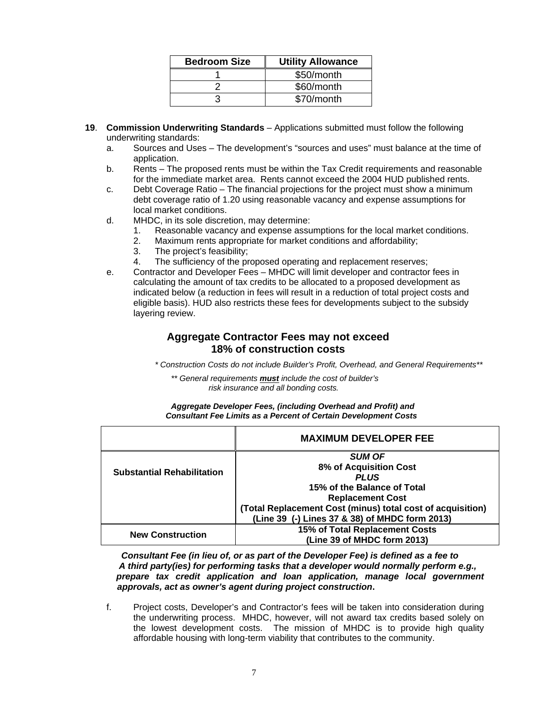| <b>Bedroom Size</b> | <b>Utility Allowance</b> |
|---------------------|--------------------------|
|                     | \$50/month               |
|                     | \$60/month               |
|                     | \$70/month               |

- **19**. **Commission Underwriting Standards** Applications submitted must follow the following underwriting standards:
	- a. Sources and Uses The development's "sources and uses" must balance at the time of application.
	- b. Rents The proposed rents must be within the Tax Credit requirements and reasonable for the immediate market area. Rents cannot exceed the 2004 HUD published rents.
	- c. Debt Coverage Ratio The financial projections for the project must show a minimum debt coverage ratio of 1.20 using reasonable vacancy and expense assumptions for local market conditions.
	- d. MHDC, in its sole discretion, may determine:
		- 1. Reasonable vacancy and expense assumptions for the local market conditions.
		- 2. Maximum rents appropriate for market conditions and affordability;
		- 3. The project's feasibility;
		- 4. The sufficiency of the proposed operating and replacement reserves;
	- e. Contractor and Developer Fees MHDC will limit developer and contractor fees in calculating the amount of tax credits to be allocated to a proposed development as indicated below (a reduction in fees will result in a reduction of total project costs and eligible basis). HUD also restricts these fees for developments subject to the subsidy layering review.

## **Aggregate Contractor Fees may not exceed 18% of construction costs**

*\* Construction Costs do not include Builder's Profit, Overhead, and General Requirements\*\** 

*\*\* General requirements must include the cost of builder's risk insurance and all bonding costs.* 

| Aggregate Developer Fees, (including Overhead and Profit) and          |  |
|------------------------------------------------------------------------|--|
| <b>Consultant Fee Limits as a Percent of Certain Development Costs</b> |  |

|                                   | <b>MAXIMUM DEVELOPER FEE</b>                               |
|-----------------------------------|------------------------------------------------------------|
|                                   | <b>SUM OF</b>                                              |
| <b>Substantial Rehabilitation</b> | 8% of Acquisition Cost                                     |
|                                   | <b>PLUS</b>                                                |
|                                   | 15% of the Balance of Total                                |
|                                   | <b>Replacement Cost</b>                                    |
|                                   | (Total Replacement Cost (minus) total cost of acquisition) |
|                                   | (Line 39 (-) Lines 37 & 38) of MHDC form 2013)             |
|                                   | 15% of Total Replacement Costs                             |
| <b>New Construction</b>           | (Line 39 of MHDC form 2013)                                |

*Consultant Fee (in lieu of, or as part of the Developer Fee) is defined as a fee to A third party(ies) for performing tasks that a developer would normally perform e.g., prepare tax credit application and loan application, manage local government approvals, act as owner's agent during project construction***.** 

f. Project costs, Developer's and Contractor's fees will be taken into consideration during the underwriting process. MHDC, however, will not award tax credits based solely on the lowest development costs. The mission of MHDC is to provide high quality affordable housing with long-term viability that contributes to the community.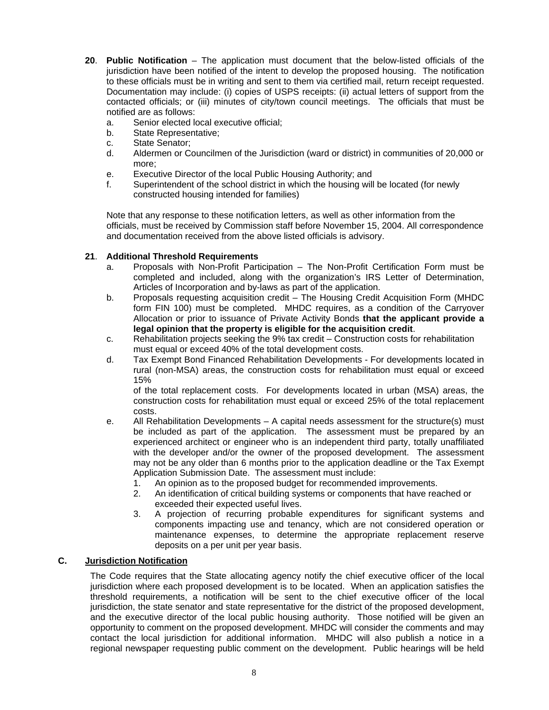- **20**. **Public Notification** The application must document that the below-listed officials of the jurisdiction have been notified of the intent to develop the proposed housing. The notification to these officials must be in writing and sent to them via certified mail, return receipt requested. Documentation may include: (i) copies of USPS receipts: (ii) actual letters of support from the contacted officials; or (iii) minutes of city/town council meetings. The officials that must be notified are as follows:
	- a. Senior elected local executive official;
	- b. State Representative;
	- c. State Senator;
	- d. Aldermen or Councilmen of the Jurisdiction (ward or district) in communities of 20,000 or more;
	- e. Executive Director of the local Public Housing Authority; and
	- f. Superintendent of the school district in which the housing will be located (for newly constructed housing intended for families)

Note that any response to these notification letters, as well as other information from the officials, must be received by Commission staff before November 15, 2004. All correspondence and documentation received from the above listed officials is advisory.

## **21**. **Additional Threshold Requirements**

- a. Proposals with Non-Profit Participation The Non-Profit Certification Form must be completed and included, along with the organization's IRS Letter of Determination, Articles of Incorporation and by-laws as part of the application.
- b. Proposals requesting acquisition credit The Housing Credit Acquisition Form (MHDC form FIN 100) must be completed. MHDC requires, as a condition of the Carryover Allocation or prior to issuance of Private Activity Bonds **that the applicant provide a legal opinion that the property is eligible for the acquisition credit**.
- c. Rehabilitation projects seeking the 9% tax credit Construction costs for rehabilitation must equal or exceed 40% of the total development costs.
- d. Tax Exempt Bond Financed Rehabilitation Developments For developments located in rural (non-MSA) areas, the construction costs for rehabilitation must equal or exceed 15%

of the total replacement costs. For developments located in urban (MSA) areas, the construction costs for rehabilitation must equal or exceed 25% of the total replacement costs.

- e. All Rehabilitation Developments A capital needs assessment for the structure(s) must be included as part of the application. The assessment must be prepared by an experienced architect or engineer who is an independent third party, totally unaffiliated with the developer and/or the owner of the proposed development. The assessment may not be any older than 6 months prior to the application deadline or the Tax Exempt Application Submission Date. The assessment must include:
	- 1. An opinion as to the proposed budget for recommended improvements.
	- 2. An identification of critical building systems or components that have reached or exceeded their expected useful lives.
	- 3. A projection of recurring probable expenditures for significant systems and components impacting use and tenancy, which are not considered operation or maintenance expenses, to determine the appropriate replacement reserve deposits on a per unit per year basis.

#### **C. Jurisdiction Notification**

The Code requires that the State allocating agency notify the chief executive officer of the local jurisdiction where each proposed development is to be located. When an application satisfies the threshold requirements, a notification will be sent to the chief executive officer of the local jurisdiction, the state senator and state representative for the district of the proposed development, and the executive director of the local public housing authority. Those notified will be given an opportunity to comment on the proposed development. MHDC will consider the comments and may contact the local jurisdiction for additional information. MHDC will also publish a notice in a regional newspaper requesting public comment on the development. Public hearings will be held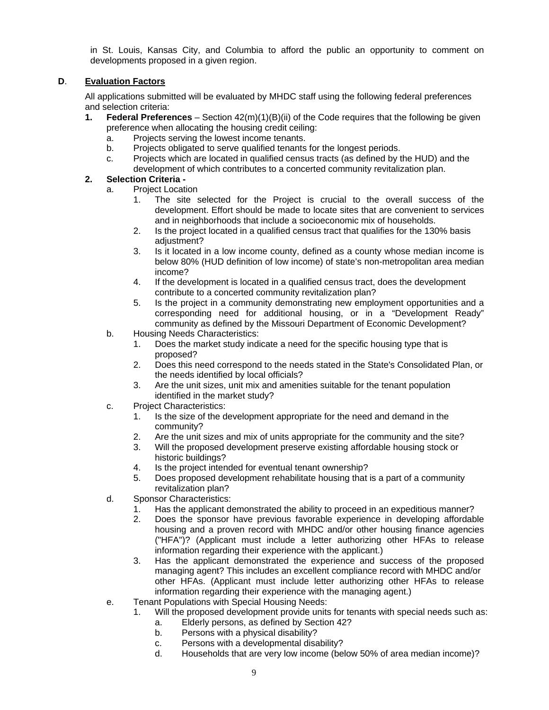in St. Louis, Kansas City, and Columbia to afford the public an opportunity to comment on developments proposed in a given region.

## **D**. **Evaluation Factors**

All applications submitted will be evaluated by MHDC staff using the following federal preferences and selection criteria:

- **1. Federal Preferences** Section 42(m)(1)(B)(ii) of the Code requires that the following be given preference when allocating the housing credit ceiling:
	- a. Projects serving the lowest income tenants.
	- b. Projects obligated to serve qualified tenants for the longest periods.
	- c. Projects which are located in qualified census tracts (as defined by the HUD) and the development of which contributes to a concerted community revitalization plan.

## **2. Selection Criteria -**

- a. Project Location
	- 1. The site selected for the Project is crucial to the overall success of the development. Effort should be made to locate sites that are convenient to services and in neighborhoods that include a socioeconomic mix of households.
	- 2. Is the project located in a qualified census tract that qualifies for the 130% basis adiustment?
	- 3. Is it located in a low income county, defined as a county whose median income is below 80% (HUD definition of low income) of state's non-metropolitan area median income?
	- 4. If the development is located in a qualified census tract, does the development contribute to a concerted community revitalization plan?
	- 5. Is the project in a community demonstrating new employment opportunities and a corresponding need for additional housing, or in a "Development Ready" community as defined by the Missouri Department of Economic Development?
- b. Housing Needs Characteristics:
	- 1. Does the market study indicate a need for the specific housing type that is proposed?
	- 2. Does this need correspond to the needs stated in the State's Consolidated Plan, or the needs identified by local officials?
	- 3. Are the unit sizes, unit mix and amenities suitable for the tenant population identified in the market study?
- c. Project Characteristics:
	- 1. Is the size of the development appropriate for the need and demand in the community?
	- 2. Are the unit sizes and mix of units appropriate for the community and the site?
	- 3. Will the proposed development preserve existing affordable housing stock or historic buildings?
	- 4. Is the project intended for eventual tenant ownership?
	- 5. Does proposed development rehabilitate housing that is a part of a community revitalization plan?
- d. Sponsor Characteristics:
	- 1. Has the applicant demonstrated the ability to proceed in an expeditious manner?
	- 2. Does the sponsor have previous favorable experience in developing affordable housing and a proven record with MHDC and/or other housing finance agencies ("HFA")? (Applicant must include a letter authorizing other HFAs to release information regarding their experience with the applicant.)
	- 3. Has the applicant demonstrated the experience and success of the proposed managing agent? This includes an excellent compliance record with MHDC and/or other HFAs. (Applicant must include letter authorizing other HFAs to release information regarding their experience with the managing agent.)
- e. Tenant Populations with Special Housing Needs:
	- 1. Will the proposed development provide units for tenants with special needs such as:
		- a. Elderly persons, as defined by Section 42?
		- b. Persons with a physical disability?
		- c. Persons with a developmental disability?
		- d. Households that are very low income (below 50% of area median income)?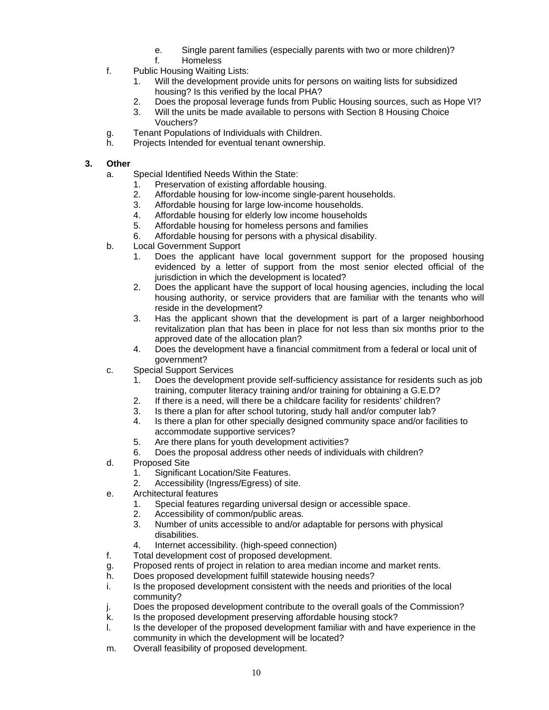- e. Single parent families (especially parents with two or more children)?
- f. Homeless
- f. Public Housing Waiting Lists:
	- 1. Will the development provide units for persons on waiting lists for subsidized housing? Is this verified by the local PHA?
	- 2. Does the proposal leverage funds from Public Housing sources, such as Hope VI?
	- 3. Will the units be made available to persons with Section 8 Housing Choice Vouchers?
- g. Tenant Populations of Individuals with Children.
- h. Projects Intended for eventual tenant ownership.

## **3. Other**

- a. Special Identified Needs Within the State:
	- 1. Preservation of existing affordable housing.
	- 2. Affordable housing for low-income single-parent households.
	- 3. Affordable housing for large low-income households.
	- 4. Affordable housing for elderly low income households
	- 5. Affordable housing for homeless persons and families
	- 6. Affordable housing for persons with a physical disability.
- b. Local Government Support
	- 1. Does the applicant have local government support for the proposed housing evidenced by a letter of support from the most senior elected official of the jurisdiction in which the development is located?
	- 2. Does the applicant have the support of local housing agencies, including the local housing authority, or service providers that are familiar with the tenants who will reside in the development?
	- 3. Has the applicant shown that the development is part of a larger neighborhood revitalization plan that has been in place for not less than six months prior to the approved date of the allocation plan?
	- 4. Does the development have a financial commitment from a federal or local unit of government?
- c. Special Support Services
	- 1. Does the development provide self-sufficiency assistance for residents such as job training, computer literacy training and/or training for obtaining a G.E.D?
	- 2. If there is a need, will there be a childcare facility for residents' children?
	- 3. Is there a plan for after school tutoring, study hall and/or computer lab?
	- 4. Is there a plan for other specially designed community space and/or facilities to accommodate supportive services?
	- 5. Are there plans for youth development activities?
	- 6. Does the proposal address other needs of individuals with children?
- d. Proposed Site
	- 1. Significant Location/Site Features.
	- 2. Accessibility (Ingress/Egress) of site.
- e. Architectural features
	- 1. Special features regarding universal design or accessible space.
	- 2. Accessibility of common/public areas.
	- 3. Number of units accessible to and/or adaptable for persons with physical disabilities.
	- 4. Internet accessibility. (high-speed connection)
- f. Total development cost of proposed development.
- g. Proposed rents of project in relation to area median income and market rents.
- h. Does proposed development fulfill statewide housing needs?
- i. Is the proposed development consistent with the needs and priorities of the local community?
- j. Does the proposed development contribute to the overall goals of the Commission?
- k. Is the proposed development preserving affordable housing stock?
- l. Is the developer of the proposed development familiar with and have experience in the community in which the development will be located?
- m. Overall feasibility of proposed development.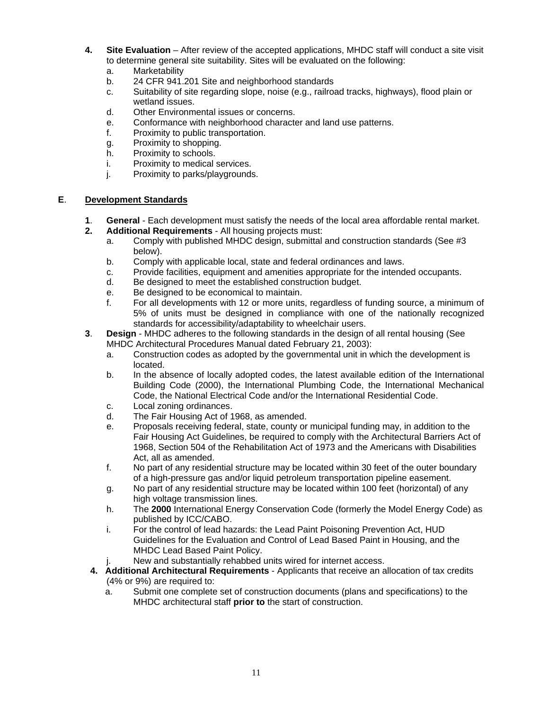- **4. Site Evaluation** After review of the accepted applications, MHDC staff will conduct a site visit to determine general site suitability. Sites will be evaluated on the following:
	- a. Marketability
	- b. 24 CFR 941.201 Site and neighborhood standards
	- c. Suitability of site regarding slope, noise (e.g., railroad tracks, highways), flood plain or wetland issues.
	- d. Other Environmental issues or concerns.
	- e. Conformance with neighborhood character and land use patterns.
	- f. Proximity to public transportation.
	- g. Proximity to shopping.
	- h. Proximity to schools.
	- i. Proximity to medical services.
	- j. Proximity to parks/playgrounds.

#### **E**. **Development Standards**

- **1**. **General** Each development must satisfy the needs of the local area affordable rental market.
- **2. Additional Requirements** All housing projects must:
	- a. Comply with published MHDC design, submittal and construction standards (See #3 below).
	- b. Comply with applicable local, state and federal ordinances and laws.
	- c. Provide facilities, equipment and amenities appropriate for the intended occupants.
	- d. Be designed to meet the established construction budget.
	- e. Be designed to be economical to maintain.
	- f. For all developments with 12 or more units, regardless of funding source, a minimum of 5% of units must be designed in compliance with one of the nationally recognized standards for accessibility/adaptability to wheelchair users.
- **3**. **Design** MHDC adheres to the following standards in the design of all rental housing (See MHDC Architectural Procedures Manual dated February 21, 2003):
	- a. Construction codes as adopted by the governmental unit in which the development is located.
	- b. In the absence of locally adopted codes, the latest available edition of the International Building Code (2000), the International Plumbing Code, the International Mechanical Code, the National Electrical Code and/or the International Residential Code.
	- c. Local zoning ordinances.
	- d. The Fair Housing Act of 1968, as amended.
	- e. Proposals receiving federal, state, county or municipal funding may, in addition to the Fair Housing Act Guidelines, be required to comply with the Architectural Barriers Act of 1968, Section 504 of the Rehabilitation Act of 1973 and the Americans with Disabilities Act, all as amended.
	- f. No part of any residential structure may be located within 30 feet of the outer boundary of a high-pressure gas and/or liquid petroleum transportation pipeline easement.
	- g. No part of any residential structure may be located within 100 feet (horizontal) of any high voltage transmission lines.
	- h. The **2000** International Energy Conservation Code (formerly the Model Energy Code) as published by ICC/CABO.
	- i. For the control of lead hazards: the Lead Paint Poisoning Prevention Act, HUD Guidelines for the Evaluation and Control of Lead Based Paint in Housing, and the MHDC Lead Based Paint Policy.
	- j. New and substantially rehabbed units wired for internet access.
- **4. Additional Architectural Requirements** Applicants that receive an allocation of tax credits (4% or 9%) are required to:
	- a. Submit one complete set of construction documents (plans and specifications) to the MHDC architectural staff **prior to** the start of construction.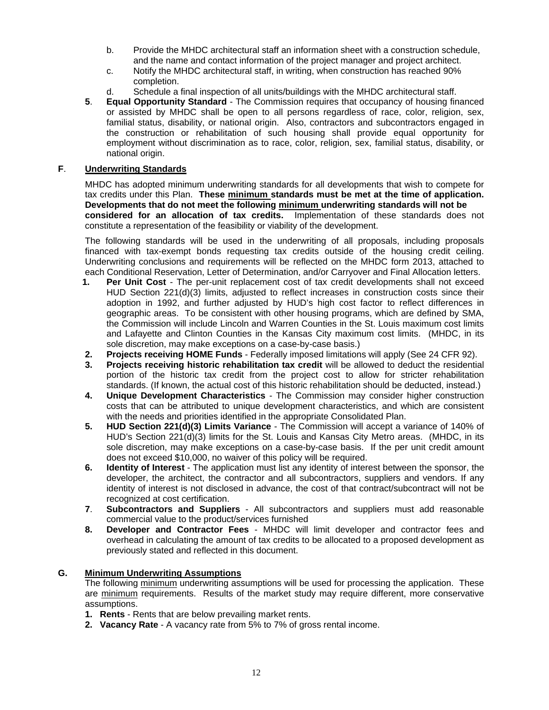- b. Provide the MHDC architectural staff an information sheet with a construction schedule, and the name and contact information of the project manager and project architect.
- c. Notify the MHDC architectural staff, in writing, when construction has reached 90% completion.
- d. Schedule a final inspection of all units/buildings with the MHDC architectural staff.
- **5**. **Equal Opportunity Standard** The Commission requires that occupancy of housing financed or assisted by MHDC shall be open to all persons regardless of race, color, religion, sex, familial status, disability, or national origin. Also, contractors and subcontractors engaged in the construction or rehabilitation of such housing shall provide equal opportunity for employment without discrimination as to race, color, religion, sex, familial status, disability, or national origin.

#### **F**. **Underwriting Standards**

MHDC has adopted minimum underwriting standards for all developments that wish to compete for tax credits under this Plan. **These minimum standards must be met at the time of application. Developments that do not meet the following minimum underwriting standards will not be considered for an allocation of tax credits.** Implementation of these standards does not constitute a representation of the feasibility or viability of the development.

The following standards will be used in the underwriting of all proposals, including proposals financed with tax-exempt bonds requesting tax credits outside of the housing credit ceiling. Underwriting conclusions and requirements will be reflected on the MHDC form 2013, attached to each Conditional Reservation, Letter of Determination, and/or Carryover and Final Allocation letters.

- **1. Per Unit Cost** The per-unit replacement cost of tax credit developments shall not exceed HUD Section 221(d)(3) limits, adjusted to reflect increases in construction costs since their adoption in 1992, and further adjusted by HUD's high cost factor to reflect differences in geographic areas. To be consistent with other housing programs, which are defined by SMA, the Commission will include Lincoln and Warren Counties in the St. Louis maximum cost limits and Lafayette and Clinton Counties in the Kansas City maximum cost limits. (MHDC, in its sole discretion, may make exceptions on a case-by-case basis.)
- **2. Projects receiving HOME Funds** Federally imposed limitations will apply (See 24 CFR 92).
- **3. Projects receiving historic rehabilitation tax credit** will be allowed to deduct the residential portion of the historic tax credit from the project cost to allow for stricter rehabilitation standards. (If known, the actual cost of this historic rehabilitation should be deducted, instead.)
- **4. Unique Development Characteristics** The Commission may consider higher construction costs that can be attributed to unique development characteristics, and which are consistent with the needs and priorities identified in the appropriate Consolidated Plan.
- **5. HUD Section 221(d)(3) Limits Variance** The Commission will accept a variance of 140% of HUD's Section 221(d)(3) limits for the St. Louis and Kansas City Metro areas. (MHDC, in its sole discretion, may make exceptions on a case-by-case basis. If the per unit credit amount does not exceed \$10,000, no waiver of this policy will be required.
- **6. Identity of Interest** The application must list any identity of interest between the sponsor, the developer, the architect, the contractor and all subcontractors, suppliers and vendors. If any identity of interest is not disclosed in advance, the cost of that contract/subcontract will not be recognized at cost certification.
- **7**. **Subcontractors and Suppliers**  All subcontractors and suppliers must add reasonable commercial value to the product/services furnished
- **8. Developer and Contractor Fees** MHDC will limit developer and contractor fees and overhead in calculating the amount of tax credits to be allocated to a proposed development as previously stated and reflected in this document.

#### **G. Minimum Underwriting Assumptions**

The following minimum underwriting assumptions will be used for processing the application. These are minimum requirements. Results of the market study may require different, more conservative assumptions.

- **1. Rents** Rents that are below prevailing market rents.
- **2. Vacancy Rate** A vacancy rate from 5% to 7% of gross rental income.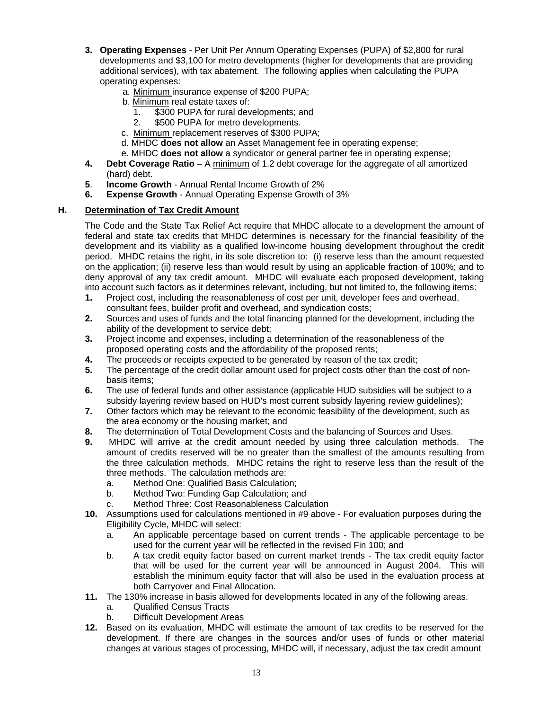- **3. Operating Expenses** Per Unit Per Annum Operating Expenses (PUPA) of \$2,800 for rural developments and \$3,100 for metro developments (higher for developments that are providing additional services), with tax abatement. The following applies when calculating the PUPA operating expenses:
	- a. Minimum insurance expense of \$200 PUPA;
	- b. Minimum real estate taxes of:
		- 1. \$300 PUPA for rural developments; and
		- 2. \$500 PUPA for metro developments.
	- c. Minimum replacement reserves of \$300 PUPA;
	- d. MHDC **does not allow** an Asset Management fee in operating expense;
	- e. MHDC **does not allow** a syndicator or general partner fee in operating expense;
- **4. Debt Coverage Ratio** A minimum of 1.2 debt coverage for the aggregate of all amortized (hard) debt.
- **5**. **Income Growth** Annual Rental Income Growth of 2%
- **6. Expense Growth** Annual Operating Expense Growth of 3%

## **H. Determination of Tax Credit Amount**

The Code and the State Tax Relief Act require that MHDC allocate to a development the amount of federal and state tax credits that MHDC determines is necessary for the financial feasibility of the development and its viability as a qualified low-income housing development throughout the credit period. MHDC retains the right, in its sole discretion to: (i) reserve less than the amount requested on the application; (ii) reserve less than would result by using an applicable fraction of 100%; and to deny approval of any tax credit amount. MHDC will evaluate each proposed development, taking into account such factors as it determines relevant, including, but not limited to, the following items:

- **1.** Project cost, including the reasonableness of cost per unit, developer fees and overhead, consultant fees, builder profit and overhead, and syndication costs;
- **2.** Sources and uses of funds and the total financing planned for the development, including the ability of the development to service debt;
- **3.** Project income and expenses, including a determination of the reasonableness of the proposed operating costs and the affordability of the proposed rents;
- **4.** The proceeds or receipts expected to be generated by reason of the tax credit;
- **5.** The percentage of the credit dollar amount used for project costs other than the cost of nonbasis items;
- **6.** The use of federal funds and other assistance (applicable HUD subsidies will be subject to a subsidy layering review based on HUD's most current subsidy layering review guidelines);
- **7.** Other factors which may be relevant to the economic feasibility of the development, such as the area economy or the housing market; and
- **8.** The determination of Total Development Costs and the balancing of Sources and Uses.
- **9.** MHDC will arrive at the credit amount needed by using three calculation methods. The amount of credits reserved will be no greater than the smallest of the amounts resulting from the three calculation methods. MHDC retains the right to reserve less than the result of the three methods. The calculation methods are:
	- a. Method One: Qualified Basis Calculation;
	- b. Method Two: Funding Gap Calculation; and
	- c. Method Three: Cost Reasonableness Calculation
- **10.** Assumptions used for calculations mentioned in #9 above For evaluation purposes during the Eligibility Cycle, MHDC will select:
	- a. An applicable percentage based on current trends The applicable percentage to be used for the current year will be reflected in the revised Fin 100; and
	- b. A tax credit equity factor based on current market trends The tax credit equity factor that will be used for the current year will be announced in August 2004. This will establish the minimum equity factor that will also be used in the evaluation process at both Carryover and Final Allocation.
- **11.** The 130% increase in basis allowed for developments located in any of the following areas.
	- a. Qualified Census Tracts
	- b. Difficult Development Areas
- **12.** Based on its evaluation, MHDC will estimate the amount of tax credits to be reserved for the development. If there are changes in the sources and/or uses of funds or other material changes at various stages of processing, MHDC will, if necessary, adjust the tax credit amount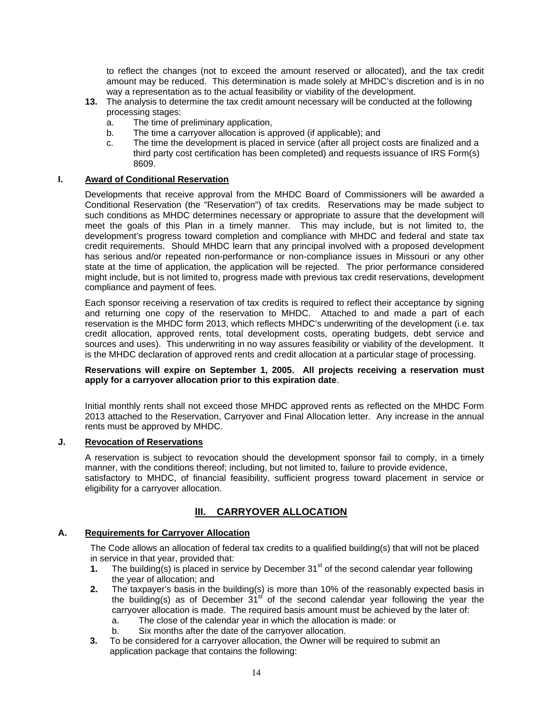to reflect the changes (not to exceed the amount reserved or allocated), and the tax credit amount may be reduced. This determination is made solely at MHDC's discretion and is in no way a representation as to the actual feasibility or viability of the development.

- **13.** The analysis to determine the tax credit amount necessary will be conducted at the following processing stages:
	- a. The time of preliminary application,
	- b. The time a carryover allocation is approved (if applicable); and
	- c. The time the development is placed in service (after all project costs are finalized and a third party cost certification has been completed) and requests issuance of IRS Form(s) 8609.

#### **I. Award of Conditional Reservation**

Developments that receive approval from the MHDC Board of Commissioners will be awarded a Conditional Reservation (the "Reservation") of tax credits. Reservations may be made subject to such conditions as MHDC determines necessary or appropriate to assure that the development will meet the goals of this Plan in a timely manner. This may include, but is not limited to, the development's progress toward completion and compliance with MHDC and federal and state tax credit requirements. Should MHDC learn that any principal involved with a proposed development has serious and/or repeated non-performance or non-compliance issues in Missouri or any other state at the time of application, the application will be rejected. The prior performance considered might include, but is not limited to, progress made with previous tax credit reservations, development compliance and payment of fees.

Each sponsor receiving a reservation of tax credits is required to reflect their acceptance by signing and returning one copy of the reservation to MHDC. Attached to and made a part of each reservation is the MHDC form 2013, which reflects MHDC's underwriting of the development (i.e. tax credit allocation, approved rents, total development costs, operating budgets, debt service and sources and uses). This underwriting in no way assures feasibility or viability of the development. It is the MHDC declaration of approved rents and credit allocation at a particular stage of processing.

#### **Reservations will expire on September 1, 2005. All projects receiving a reservation must apply for a carryover allocation prior to this expiration date**.

Initial monthly rents shall not exceed those MHDC approved rents as reflected on the MHDC Form 2013 attached to the Reservation, Carryover and Final Allocation letter. Any increase in the annual rents must be approved by MHDC.

#### **J. Revocation of Reservations**

A reservation is subject to revocation should the development sponsor fail to comply, in a timely manner, with the conditions thereof; including, but not limited to, failure to provide evidence, satisfactory to MHDC, of financial feasibility, sufficient progress toward placement in service or eligibility for a carryover allocation.

## **lII. CARRYOVER ALLOCATION**

#### **A. Requirements for Carryover Allocation**

The Code allows an allocation of federal tax credits to a qualified building(s) that will not be placed in service in that year, provided that:

- **1.** The building(s) is placed in service by December 31<sup>st</sup> of the second calendar year following the year of allocation; and
- **2.** The taxpayer's basis in the building(s) is more than 10% of the reasonably expected basis in the building(s) as of December  $31<sup>st</sup>$  of the second calendar year following the year the carryover allocation is made. The required basis amount must be achieved by the later of:
	- a. The close of the calendar year in which the allocation is made: or
	- b. Six months after the date of the carryover allocation.
- **3.** To be considered for a carryover allocation, the Owner will be required to submit an application package that contains the following: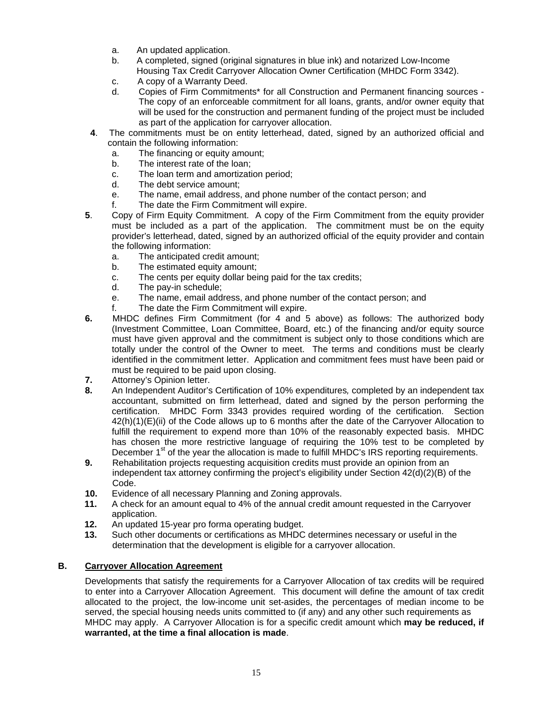- a. An updated application.
- b. A completed, signed (original signatures in blue ink) and notarized Low-Income Housing Tax Credit Carryover Allocation Owner Certification (MHDC Form 3342).
- c. A copy of a Warranty Deed.
- d. Copies of Firm Commitments\* for all Construction and Permanent financing sources The copy of an enforceable commitment for all loans, grants, and/or owner equity that will be used for the construction and permanent funding of the project must be included as part of the application for carryover allocation.
- **4**. The commitments must be on entity letterhead, dated, signed by an authorized official and contain the following information:
	- a. The financing or equity amount;
	- b. The interest rate of the loan;
	- c. The loan term and amortization period;
	- d. The debt service amount;
	- e. The name, email address, and phone number of the contact person; and
	- f. The date the Firm Commitment will expire.
- **5**. Copy of Firm Equity Commitment. A copy of the Firm Commitment from the equity provider must be included as a part of the application. The commitment must be on the equity provider's letterhead, dated, signed by an authorized official of the equity provider and contain the following information:
	- a. The anticipated credit amount;
	- b. The estimated equity amount;
	- c. The cents per equity dollar being paid for the tax credits;
	- d. The pay-in schedule;
	- e. The name, email address, and phone number of the contact person; and
	- f. The date the Firm Commitment will expire.
- **6.** MHDC defines Firm Commitment (for 4 and 5 above) as follows: The authorized body (Investment Committee, Loan Committee, Board, etc.) of the financing and/or equity source must have given approval and the commitment is subject only to those conditions which are totally under the control of the Owner to meet. The terms and conditions must be clearly identified in the commitment letter. Application and commitment fees must have been paid or must be required to be paid upon closing.
- **7.** Attorney's Opinion letter.
- **8.** An Independent Auditor's Certification of 10% expenditures*,* completed by an independent tax accountant, submitted on firm letterhead, dated and signed by the person performing the certification. MHDC Form 3343 provides required wording of the certification. Section 42(h)(1)(E)(ii) of the Code allows up to 6 months after the date of the Carryover Allocation to fulfill the requirement to expend more than 10% of the reasonably expected basis. MHDC has chosen the more restrictive language of requiring the 10% test to be completed by December  $1<sup>st</sup>$  of the year the allocation is made to fulfill MHDC's IRS reporting requirements.
- **9.** Rehabilitation projects requesting acquisition credits must provide an opinion from an independent tax attorney confirming the project's eligibility under Section 42(d)(2)(B) of the Code.
- **10.** Evidence of all necessary Planning and Zoning approvals.
- **11.** A check for an amount equal to 4% of the annual credit amount requested in the Carryover application.
- **12.** An updated 15-year pro forma operating budget.
- **13.** Such other documents or certifications as MHDC determines necessary or useful in the determination that the development is eligible for a carryover allocation.

## **B. Carryover Allocation Agreement**

Developments that satisfy the requirements for a Carryover Allocation of tax credits will be required to enter into a Carryover Allocation Agreement. This document will define the amount of tax credit allocated to the project, the low-income unit set-asides, the percentages of median income to be served, the special housing needs units committed to (if any) and any other such requirements as MHDC may apply. A Carryover Allocation is for a specific credit amount which **may be reduced, if warranted, at the time a final allocation is made**.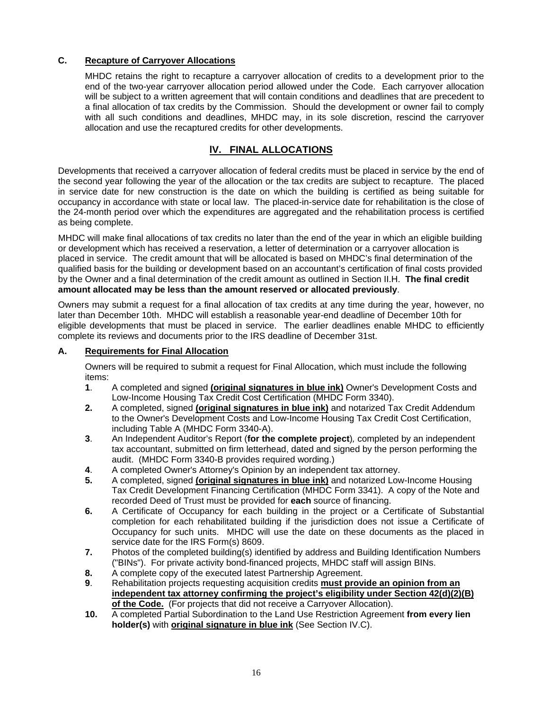## **C. Recapture of Carryover Allocations**

MHDC retains the right to recapture a carryover allocation of credits to a development prior to the end of the two-year carryover allocation period allowed under the Code. Each carryover allocation will be subject to a written agreement that will contain conditions and deadlines that are precedent to a final allocation of tax credits by the Commission. Should the development or owner fail to comply with all such conditions and deadlines, MHDC may, in its sole discretion, rescind the carryover allocation and use the recaptured credits for other developments.

## **lV. FINAL ALLOCATIONS**

Developments that received a carryover allocation of federal credits must be placed in service by the end of the second year following the year of the allocation or the tax credits are subject to recapture. The placed in service date for new construction is the date on which the building is certified as being suitable for occupancy in accordance with state or local law. The placed-in-service date for rehabilitation is the close of the 24-month period over which the expenditures are aggregated and the rehabilitation process is certified as being complete.

MHDC will make final allocations of tax credits no later than the end of the year in which an eligible building or development which has received a reservation, a letter of determination or a carryover allocation is placed in service. The credit amount that will be allocated is based on MHDC's final determination of the qualified basis for the building or development based on an accountant's certification of final costs provided by the Owner and a final determination of the credit amount as outlined in Section II.H. **The final credit amount allocated may be less than the amount reserved or allocated previously**.

Owners may submit a request for a final allocation of tax credits at any time during the year, however, no later than December 10th. MHDC will establish a reasonable year-end deadline of December 10th for eligible developments that must be placed in service. The earlier deadlines enable MHDC to efficiently complete its reviews and documents prior to the IRS deadline of December 31st.

## **A. Requirements for Final Allocation**

Owners will be required to submit a request for Final Allocation, which must include the following items:

- **1**. A completed and signed **(original signatures in blue ink)** Owner's Development Costs and Low-Income Housing Tax Credit Cost Certification (MHDC Form 3340).
- **2.** A completed, signed **(original signatures in blue ink)** and notarized Tax Credit Addendum to the Owner's Development Costs and Low-Income Housing Tax Credit Cost Certification, including Table A (MHDC Form 3340-A).
- **3**. An Independent Auditor's Report (**for the complete project**)*,* completed by an independent tax accountant, submitted on firm letterhead, dated and signed by the person performing the audit. (MHDC Form 3340-B provides required wording.)
- **4**. A completed Owner's Attorney's Opinion by an independent tax attorney.
- **5.** A completed, signed **(original signatures in blue ink)** and notarized Low-Income Housing Tax Credit Development Financing Certification (MHDC Form 3341). A copy of the Note and recorded Deed of Trust must be provided for **each** source of financing.
- **6.** A Certificate of Occupancy for each building in the project or a Certificate of Substantial completion for each rehabilitated building if the jurisdiction does not issue a Certificate of Occupancy for such units. MHDC will use the date on these documents as the placed in service date for the IRS Form(s) 8609.
- **7.** Photos of the completed building(s) identified by address and Building Identification Numbers ("BINs"). For private activity bond-financed projects, MHDC staff will assign BINs.
- **8.** A complete copy of the executed latest Partnership Agreement.
- **9**. Rehabilitation projects requesting acquisition credits **must provide an opinion from an independent tax attorney confirming the project's eligibility under Section 42(d)(2)(B) of the Code.** (For projects that did not receive a Carryover Allocation).
- **10.** A completed Partial Subordination to the Land Use Restriction Agreement **from every lien holder(s)** with **original signature in blue ink** (See Section IV.C).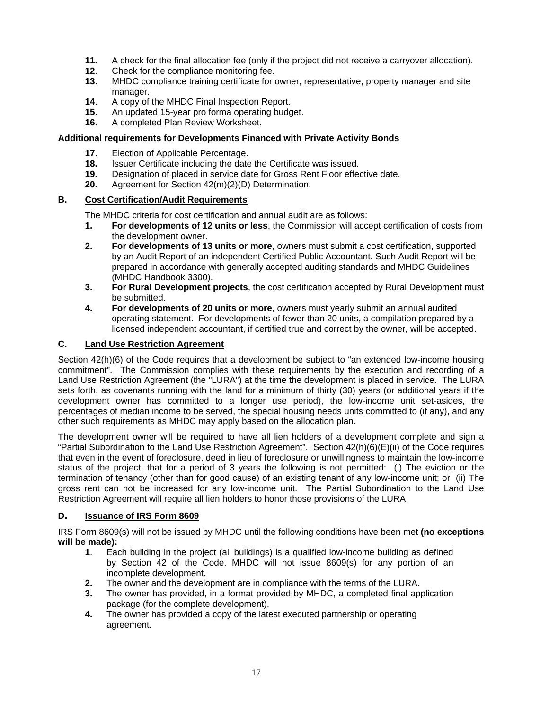- **11.** A check for the final allocation fee (only if the project did not receive a carryover allocation).
- **12**. Check for the compliance monitoring fee.
- **13**. MHDC compliance training certificate for owner, representative, property manager and site manager.
- **14**. A copy of the MHDC Final Inspection Report.
- **15**. An updated 15-year pro forma operating budget.
- **16**. A completed Plan Review Worksheet.

## **Additional requirements for Developments Financed with Private Activity Bonds**

- **17**. Election of Applicable Percentage.
- **18.** Issuer Certificate including the date the Certificate was issued.
- **19.** Designation of placed in service date for Gross Rent Floor effective date.
- **20.** Agreement for Section 42(m)(2)(D) Determination.

## **B. Cost Certification/Audit Requirements**

The MHDC criteria for cost certification and annual audit are as follows:

- **1. For developments of 12 units or less**, the Commission will accept certification of costs from the development owner.
- **2. For developments of 13 units or more**, owners must submit a cost certification, supported by an Audit Report of an independent Certified Public Accountant. Such Audit Report will be prepared in accordance with generally accepted auditing standards and MHDC Guidelines (MHDC Handbook 3300).
- **3. For Rural Development projects**, the cost certification accepted by Rural Development must be submitted.
- **4. For developments of 20 units or more**, owners must yearly submit an annual audited operating statement. For developments of fewer than 20 units, a compilation prepared by a licensed independent accountant, if certified true and correct by the owner, will be accepted.

## **C. Land Use Restriction Agreement**

Section 42(h)(6) of the Code requires that a development be subject to "an extended low-income housing commitment". The Commission complies with these requirements by the execution and recording of a Land Use Restriction Agreement (the "LURA") at the time the development is placed in service. The LURA sets forth, as covenants running with the land for a minimum of thirty (30) years (or additional years if the development owner has committed to a longer use period), the low-income unit set-asides, the percentages of median income to be served, the special housing needs units committed to (if any), and any other such requirements as MHDC may apply based on the allocation plan.

The development owner will be required to have all lien holders of a development complete and sign a "Partial Subordination to the Land Use Restriction Agreement". Section 42(h)(6)(E)(ii) of the Code requires that even in the event of foreclosure, deed in lieu of foreclosure or unwillingness to maintain the low-income status of the project, that for a period of 3 years the following is not permitted: (i) The eviction or the termination of tenancy (other than for good cause) of an existing tenant of any low-income unit; or (ii) The gross rent can not be increased for any low-income unit. The Partial Subordination to the Land Use Restriction Agreement will require all lien holders to honor those provisions of the LURA.

## **D. Issuance of IRS Form 8609**

IRS Form 8609(s) will not be issued by MHDC until the following conditions have been met **(no exceptions will be made):** 

- **1**. Each building in the project (all buildings) is a qualified low-income building as defined by Section 42 of the Code. MHDC will not issue 8609(s) for any portion of an incomplete development.
- **2.** The owner and the development are in compliance with the terms of the LURA.
- **3.** The owner has provided, in a format provided by MHDC, a completed final application package (for the complete development).
- **4.** The owner has provided a copy of the latest executed partnership or operating agreement.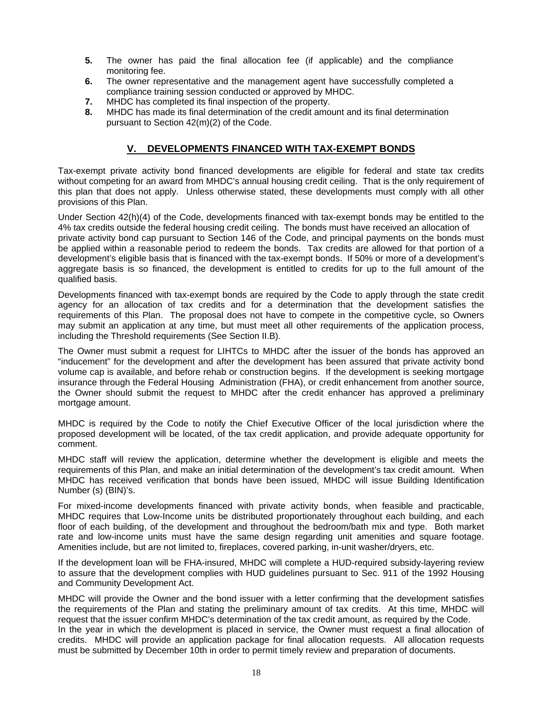- **5.** The owner has paid the final allocation fee (if applicable) and the compliance monitoring fee.
- **6.** The owner representative and the management agent have successfully completed a compliance training session conducted or approved by MHDC.
- **7.** MHDC has completed its final inspection of the property.
- **8.** MHDC has made its final determination of the credit amount and its final determination pursuant to Section 42(m)(2) of the Code.

## **V. DEVELOPMENTS FINANCED WITH TAX-EXEMPT BONDS**

Tax-exempt private activity bond financed developments are eligible for federal and state tax credits without competing for an award from MHDC's annual housing credit ceiling. That is the only requirement of this plan that does not apply. Unless otherwise stated, these developments must comply with all other provisions of this Plan.

Under Section 42(h)(4) of the Code, developments financed with tax-exempt bonds may be entitled to the 4% tax credits outside the federal housing credit ceiling. The bonds must have received an allocation of private activity bond cap pursuant to Section 146 of the Code, and principal payments on the bonds must be applied within a reasonable period to redeem the bonds. Tax credits are allowed for that portion of a development's eligible basis that is financed with the tax-exempt bonds. If 50% or more of a development's aggregate basis is so financed, the development is entitled to credits for up to the full amount of the qualified basis.

Developments financed with tax-exempt bonds are required by the Code to apply through the state credit agency for an allocation of tax credits and for a determination that the development satisfies the requirements of this Plan. The proposal does not have to compete in the competitive cycle, so Owners may submit an application at any time, but must meet all other requirements of the application process, including the Threshold requirements (See Section II.B).

The Owner must submit a request for LIHTCs to MHDC after the issuer of the bonds has approved an "inducement" for the development and after the development has been assured that private activity bond volume cap is available, and before rehab or construction begins. If the development is seeking mortgage insurance through the Federal Housing Administration (FHA), or credit enhancement from another source, the Owner should submit the request to MHDC after the credit enhancer has approved a preliminary mortgage amount.

MHDC is required by the Code to notify the Chief Executive Officer of the local jurisdiction where the proposed development will be located, of the tax credit application, and provide adequate opportunity for comment.

MHDC staff will review the application, determine whether the development is eligible and meets the requirements of this Plan, and make an initial determination of the development's tax credit amount. When MHDC has received verification that bonds have been issued, MHDC will issue Building Identification Number (s) (BIN)'s.

For mixed-income developments financed with private activity bonds, when feasible and practicable, MHDC requires that Low-Income units be distributed proportionately throughout each building, and each floor of each building, of the development and throughout the bedroom/bath mix and type. Both market rate and low-income units must have the same design regarding unit amenities and square footage. Amenities include, but are not limited to, fireplaces, covered parking, in-unit washer/dryers, etc.

If the development loan will be FHA-insured, MHDC will complete a HUD-required subsidy-layering review to assure that the development complies with HUD guidelines pursuant to Sec. 911 of the 1992 Housing and Community Development Act.

MHDC will provide the Owner and the bond issuer with a letter confirming that the development satisfies the requirements of the Plan and stating the preliminary amount of tax credits. At this time, MHDC will request that the issuer confirm MHDC's determination of the tax credit amount, as required by the Code. In the year in which the development is placed in service, the Owner must request a final allocation of credits. MHDC will provide an application package for final allocation requests. All allocation requests must be submitted by December 10th in order to permit timely review and preparation of documents.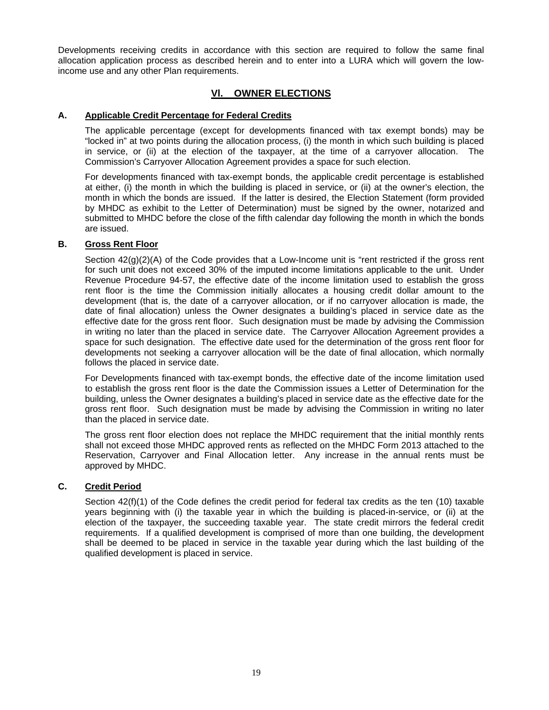Developments receiving credits in accordance with this section are required to follow the same final allocation application process as described herein and to enter into a LURA which will govern the lowincome use and any other Plan requirements.

## **Vl. OWNER ELECTIONS**

### **A. Applicable Credit Percentage for Federal Credits**

The applicable percentage (except for developments financed with tax exempt bonds) may be "locked in" at two points during the allocation process, (i) the month in which such building is placed in service, or (ii) at the election of the taxpayer, at the time of a carryover allocation. The Commission's Carryover Allocation Agreement provides a space for such election.

For developments financed with tax-exempt bonds, the applicable credit percentage is established at either, (i) the month in which the building is placed in service, or (ii) at the owner's election, the month in which the bonds are issued. If the latter is desired, the Election Statement (form provided by MHDC as exhibit to the Letter of Determination) must be signed by the owner, notarized and submitted to MHDC before the close of the fifth calendar day following the month in which the bonds are issued.

#### **B. Gross Rent Floor**

Section  $42(q)(2)(A)$  of the Code provides that a Low-Income unit is "rent restricted if the gross rent for such unit does not exceed 30% of the imputed income limitations applicable to the unit. Under Revenue Procedure 94-57, the effective date of the income limitation used to establish the gross rent floor is the time the Commission initially allocates a housing credit dollar amount to the development (that is, the date of a carryover allocation, or if no carryover allocation is made, the date of final allocation) unless the Owner designates a building's placed in service date as the effective date for the gross rent floor. Such designation must be made by advising the Commission in writing no later than the placed in service date. The Carryover Allocation Agreement provides a space for such designation. The effective date used for the determination of the gross rent floor for developments not seeking a carryover allocation will be the date of final allocation, which normally follows the placed in service date.

For Developments financed with tax-exempt bonds, the effective date of the income limitation used to establish the gross rent floor is the date the Commission issues a Letter of Determination for the building, unless the Owner designates a building's placed in service date as the effective date for the gross rent floor. Such designation must be made by advising the Commission in writing no later than the placed in service date.

The gross rent floor election does not replace the MHDC requirement that the initial monthly rents shall not exceed those MHDC approved rents as reflected on the MHDC Form 2013 attached to the Reservation, Carryover and Final Allocation letter. Any increase in the annual rents must be approved by MHDC.

#### **C. Credit Period**

Section  $42(f)(1)$  of the Code defines the credit period for federal tax credits as the ten (10) taxable years beginning with (i) the taxable year in which the building is placed-in-service, or (ii) at the election of the taxpayer, the succeeding taxable year. The state credit mirrors the federal credit requirements. If a qualified development is comprised of more than one building, the development shall be deemed to be placed in service in the taxable year during which the last building of the qualified development is placed in service.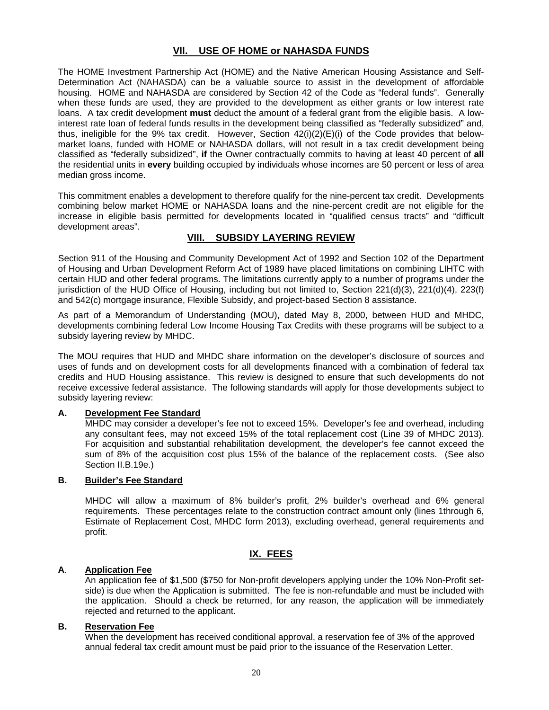## **Vll. USE OF HOME or NAHASDA FUNDS**

The HOME Investment Partnership Act (HOME) and the Native American Housing Assistance and Self-Determination Act (NAHASDA) can be a valuable source to assist in the development of affordable housing. HOME and NAHASDA are considered by Section 42 of the Code as "federal funds". Generally when these funds are used, they are provided to the development as either grants or low interest rate loans. A tax credit development **must** deduct the amount of a federal grant from the eligible basis. A lowinterest rate loan of federal funds results in the development being classified as "federally subsidized" and, thus, ineligible for the 9% tax credit. However, Section  $42(i)(2)(E)(i)$  of the Code provides that belowmarket loans, funded with HOME or NAHASDA dollars, will not result in a tax credit development being classified as "federally subsidized", **if** the Owner contractually commits to having at least 40 percent of **all**  the residential units in **every** building occupied by individuals whose incomes are 50 percent or less of area median gross income.

This commitment enables a development to therefore qualify for the nine-percent tax credit. Developments combining below market HOME or NAHASDA loans and the nine-percent credit are not eligible for the increase in eligible basis permitted for developments located in "qualified census tracts" and "difficult development areas".

#### **VIII. SUBSIDY LAYERING REVIEW**

Section 911 of the Housing and Community Development Act of 1992 and Section 102 of the Department of Housing and Urban Development Reform Act of 1989 have placed limitations on combining LIHTC with certain HUD and other federal programs. The limitations currently apply to a number of programs under the jurisdiction of the HUD Office of Housing, including but not limited to, Section 221(d)(3), 221(d)(4), 223(f) and 542(c) mortgage insurance, Flexible Subsidy, and project-based Section 8 assistance.

As part of a Memorandum of Understanding (MOU), dated May 8, 2000, between HUD and MHDC, developments combining federal Low Income Housing Tax Credits with these programs will be subject to a subsidy layering review by MHDC.

The MOU requires that HUD and MHDC share information on the developer's disclosure of sources and uses of funds and on development costs for all developments financed with a combination of federal tax credits and HUD Housing assistance. This review is designed to ensure that such developments do not receive excessive federal assistance. The following standards will apply for those developments subject to subsidy layering review:

#### **A. Development Fee Standard**

MHDC may consider a developer's fee not to exceed 15%. Developer's fee and overhead, including any consultant fees, may not exceed 15% of the total replacement cost (Line 39 of MHDC 2013). For acquisition and substantial rehabilitation development, the developer's fee cannot exceed the sum of 8% of the acquisition cost plus 15% of the balance of the replacement costs. (See also Section II.B.19e.)

## **B. Builder's Fee Standard**

MHDC will allow a maximum of 8% builder's profit, 2% builder's overhead and 6% general requirements. These percentages relate to the construction contract amount only (lines 1through 6, Estimate of Replacement Cost, MHDC form 2013), excluding overhead, general requirements and profit.

#### **IX. FEES**

#### **A**. **Application Fee**

An application fee of \$1,500 (\$750 for Non-profit developers applying under the 10% Non-Profit setside) is due when the Application is submitted. The fee is non-refundable and must be included with the application. Should a check be returned, for any reason, the application will be immediately rejected and returned to the applicant.

#### **B. Reservation Fee**

When the development has received conditional approval, a reservation fee of 3% of the approved annual federal tax credit amount must be paid prior to the issuance of the Reservation Letter.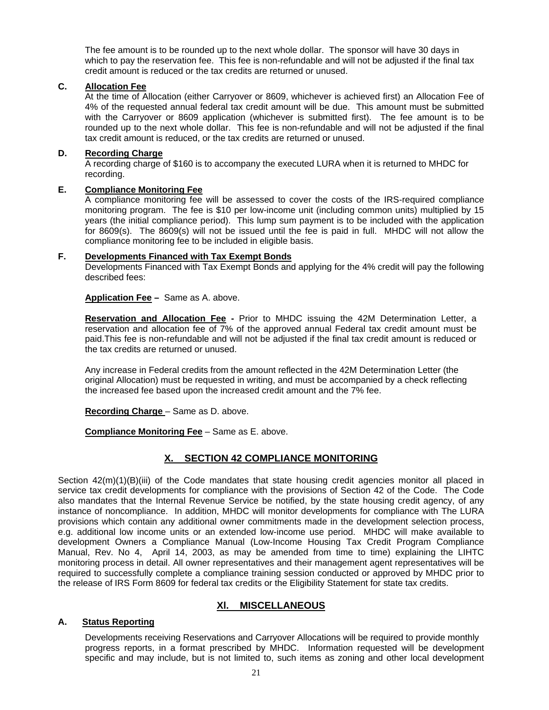The fee amount is to be rounded up to the next whole dollar. The sponsor will have 30 days in which to pay the reservation fee. This fee is non-refundable and will not be adjusted if the final tax credit amount is reduced or the tax credits are returned or unused.

#### **C. Allocation Fee**

At the time of Allocation (either Carryover or 8609, whichever is achieved first) an Allocation Fee of 4% of the requested annual federal tax credit amount will be due. This amount must be submitted with the Carryover or 8609 application (whichever is submitted first). The fee amount is to be rounded up to the next whole dollar. This fee is non-refundable and will not be adjusted if the final tax credit amount is reduced, or the tax credits are returned or unused.

#### **D. Recording Charge**

A recording charge of \$160 is to accompany the executed LURA when it is returned to MHDC for recording.

#### **E. Compliance Monitoring Fee**

A compliance monitoring fee will be assessed to cover the costs of the IRS-required compliance monitoring program. The fee is \$10 per low-income unit (including common units) multiplied by 15 years (the initial compliance period). This lump sum payment is to be included with the application for 8609(s). The 8609(s) will not be issued until the fee is paid in full. MHDC will not allow the compliance monitoring fee to be included in eligible basis.

## **F. Developments Financed with Tax Exempt Bonds**

Developments Financed with Tax Exempt Bonds and applying for the 4% credit will pay the following described fees:

**Application Fee –** Same as A. above.

**Reservation and Allocation Fee -** Prior to MHDC issuing the 42M Determination Letter, a reservation and allocation fee of 7% of the approved annual Federal tax credit amount must be paid.This fee is non-refundable and will not be adjusted if the final tax credit amount is reduced or the tax credits are returned or unused.

Any increase in Federal credits from the amount reflected in the 42M Determination Letter (the original Allocation) must be requested in writing, and must be accompanied by a check reflecting the increased fee based upon the increased credit amount and the 7% fee.

**Recording Charge** – Same as D. above.

**Compliance Monitoring Fee** – Same as E. above.

## **X. SECTION 42 COMPLIANCE MONITORING**

Section 42(m)(1)(B)(iii) of the Code mandates that state housing credit agencies monitor all placed in service tax credit developments for compliance with the provisions of Section 42 of the Code. The Code also mandates that the Internal Revenue Service be notified, by the state housing credit agency, of any instance of noncompliance. In addition, MHDC will monitor developments for compliance with The LURA provisions which contain any additional owner commitments made in the development selection process, e.g. additional low income units or an extended low-income use period. MHDC will make available to development Owners a Compliance Manual (Low-Income Housing Tax Credit Program Compliance Manual, Rev. No 4, April 14, 2003, as may be amended from time to time) explaining the LIHTC monitoring process in detail. All owner representatives and their management agent representatives will be required to successfully complete a compliance training session conducted or approved by MHDC prior to the release of IRS Form 8609 for federal tax credits or the Eligibility Statement for state tax credits.

## **Xl. MISCELLANEOUS**

#### **A. Status Reporting**

Developments receiving Reservations and Carryover Allocations will be required to provide monthly progress reports, in a format prescribed by MHDC. Information requested will be development specific and may include, but is not limited to, such items as zoning and other local development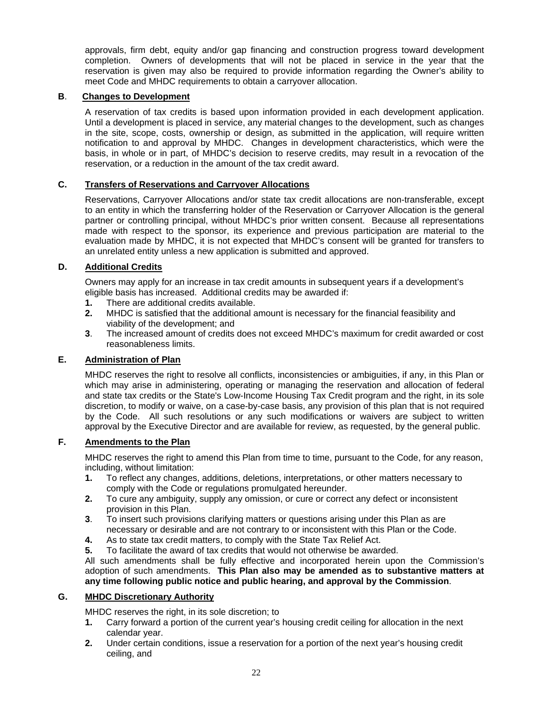approvals, firm debt, equity and/or gap financing and construction progress toward development completion. Owners of developments that will not be placed in service in the year that the reservation is given may also be required to provide information regarding the Owner's ability to meet Code and MHDC requirements to obtain a carryover allocation.

## **B**. **Changes to Development**

A reservation of tax credits is based upon information provided in each development application. Until a development is placed in service, any material changes to the development, such as changes in the site, scope, costs, ownership or design, as submitted in the application, will require written notification to and approval by MHDC. Changes in development characteristics, which were the basis, in whole or in part, of MHDC's decision to reserve credits, may result in a revocation of the reservation, or a reduction in the amount of the tax credit award.

### **C. Transfers of Reservations and Carryover Allocations**

Reservations, Carryover Allocations and/or state tax credit allocations are non-transferable, except to an entity in which the transferring holder of the Reservation or Carryover Allocation is the general partner or controlling principal, without MHDC's prior written consent. Because all representations made with respect to the sponsor, its experience and previous participation are material to the evaluation made by MHDC, it is not expected that MHDC's consent will be granted for transfers to an unrelated entity unless a new application is submitted and approved.

#### **D. Additional Credits**

Owners may apply for an increase in tax credit amounts in subsequent years if a development's eligible basis has increased. Additional credits may be awarded if:

- **1.** There are additional credits available.
- **2.** MHDC is satisfied that the additional amount is necessary for the financial feasibility and viability of the development; and
- **3**. The increased amount of credits does not exceed MHDC's maximum for credit awarded or cost reasonableness limits.

## **E. Administration of Plan**

MHDC reserves the right to resolve all conflicts, inconsistencies or ambiguities, if any, in this Plan or which may arise in administering, operating or managing the reservation and allocation of federal and state tax credits or the State's Low-Income Housing Tax Credit program and the right, in its sole discretion, to modify or waive, on a case-by-case basis, any provision of this plan that is not required by the Code. All such resolutions or any such modifications or waivers are subject to written approval by the Executive Director and are available for review, as requested, by the general public.

## **F. Amendments to the Plan**

MHDC reserves the right to amend this Plan from time to time, pursuant to the Code, for any reason, including, without limitation:

- **1.** To reflect any changes, additions, deletions, interpretations, or other matters necessary to comply with the Code or regulations promulgated hereunder.
- **2.** To cure any ambiguity, supply any omission, or cure or correct any defect or inconsistent provision in this Plan.
- **3**. To insert such provisions clarifying matters or questions arising under this Plan as are necessary or desirable and are not contrary to or inconsistent with this Plan or the Code.
- **4.** As to state tax credit matters, to comply with the State Tax Relief Act.
- **5.** To facilitate the award of tax credits that would not otherwise be awarded.

All such amendments shall be fully effective and incorporated herein upon the Commission's adoption of such amendments. **This Plan also may be amended as to substantive matters at any time following public notice and public hearing, and approval by the Commission**.

#### **G. MHDC Discretionary Authority**

MHDC reserves the right, in its sole discretion; to

- **1.** Carry forward a portion of the current year's housing credit ceiling for allocation in the next calendar year.
- **2.** Under certain conditions, issue a reservation for a portion of the next year's housing credit ceiling, and